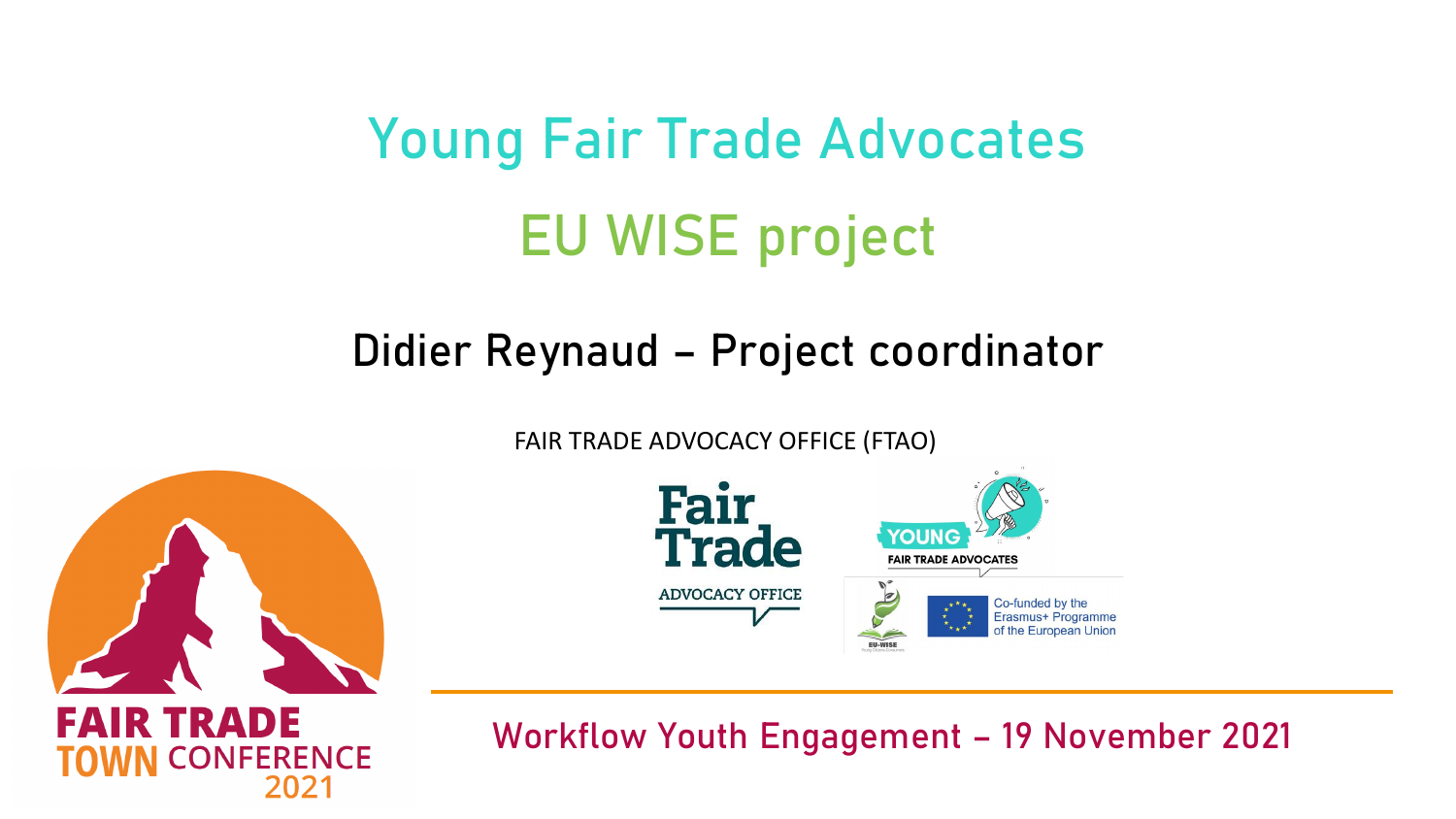# Young Fair Trade Advocates EU WISE project

## Didier Reynaud – Project coordinator

FAIR TRADE ADVOCACY OFFICE (FTAO)





**FAIR TRADE FERENCE**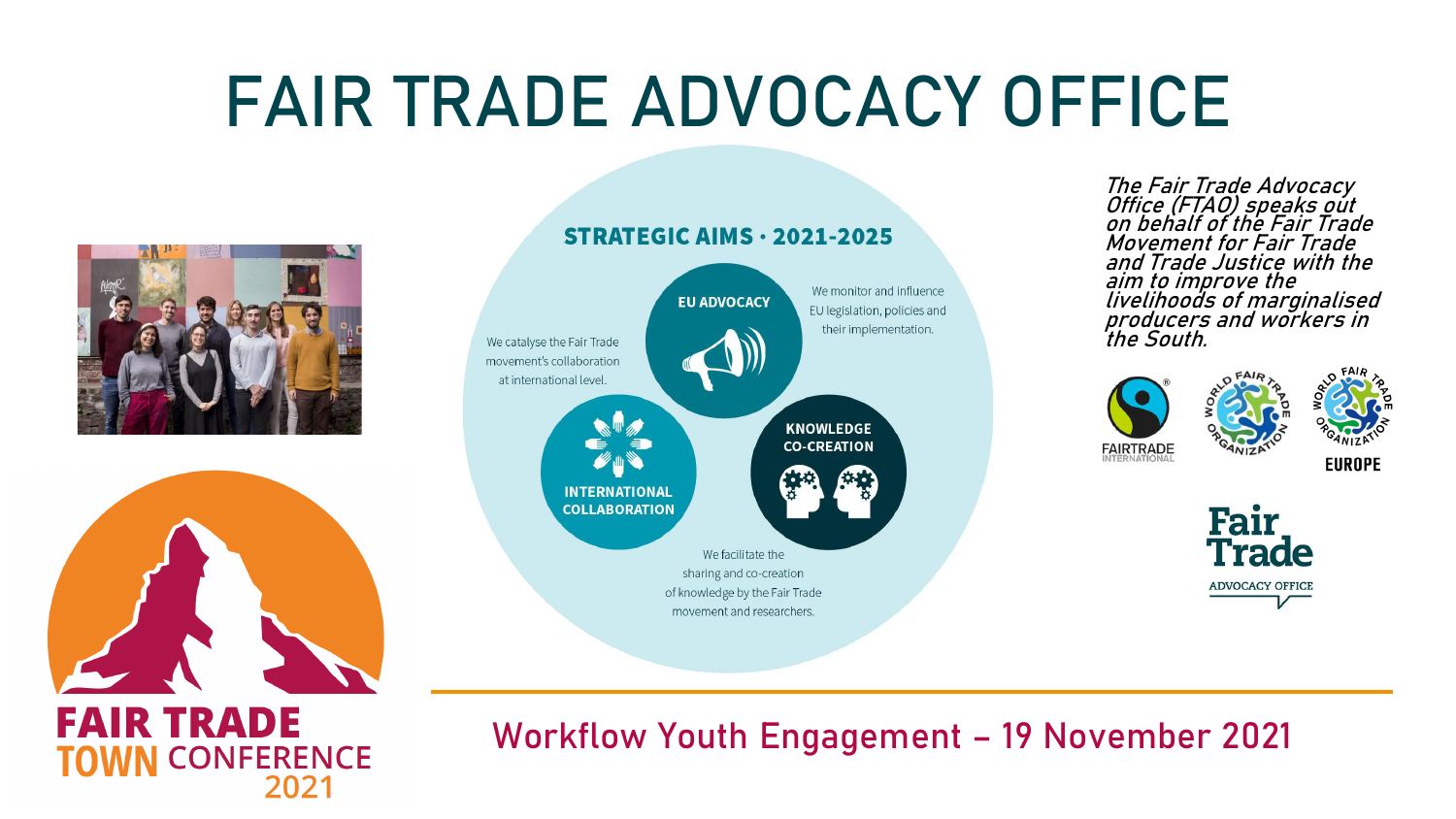# FAIR TRADE ADVOCACY OFFICE





**TOWN CONFERENCE** 

2021



on behalf of the Fair Trade Movement for Fair Trade and Trade Justice with the aim to improve the livelihoods of marginalised producers and workers in the South.



The Fair Trade Advocacy Office (FTAO) speaks out



**ADVOCACY OFFICE**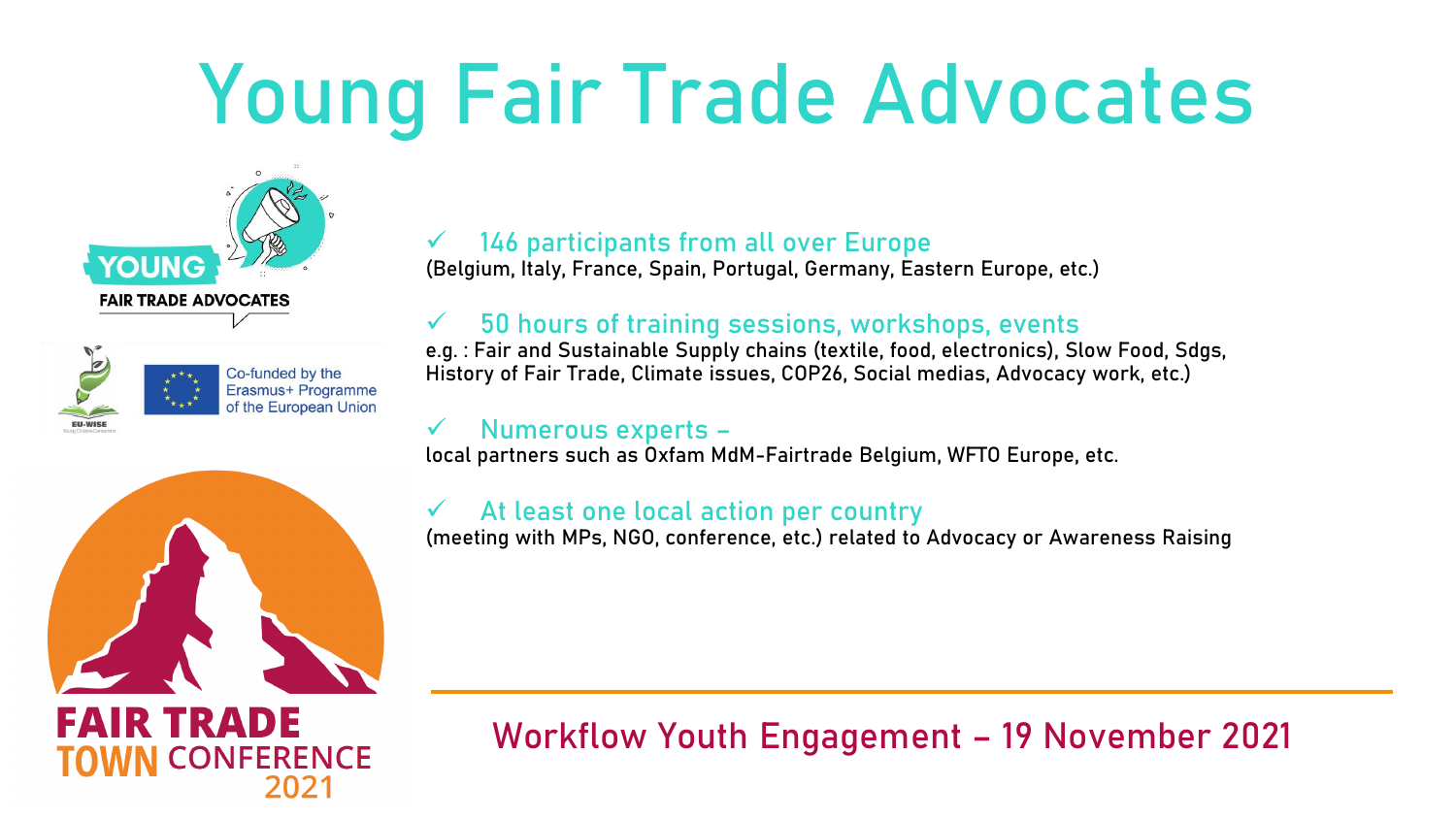# Young Fair Trade Advocates



| EU-WISE |  |
|---------|--|

Co-funded by the Erasmus+ Programme of the European Union

### 146 participants from all over Europe

(Belgium, Italy, France, Spain, Portugal, Germany, Eastern Europe, etc.)

### 50 hours of training sessions, workshops, events

e.g. : Fair and Sustainable Supply chains (textile, food, electronics), Slow Food, Sdgs, History of Fair Trade, Climate issues, COP26, Social medias, Advocacy work, etc.)

#### ✓ Numerous experts –

local partners such as Oxfam MdM-Fairtrade Belgium, WFTO Europe, etc.

#### At least one local action per country

(meeting with MPs, NGO, conference, etc.) related to Advocacy or Awareness Raising

# **FAIR TRADE**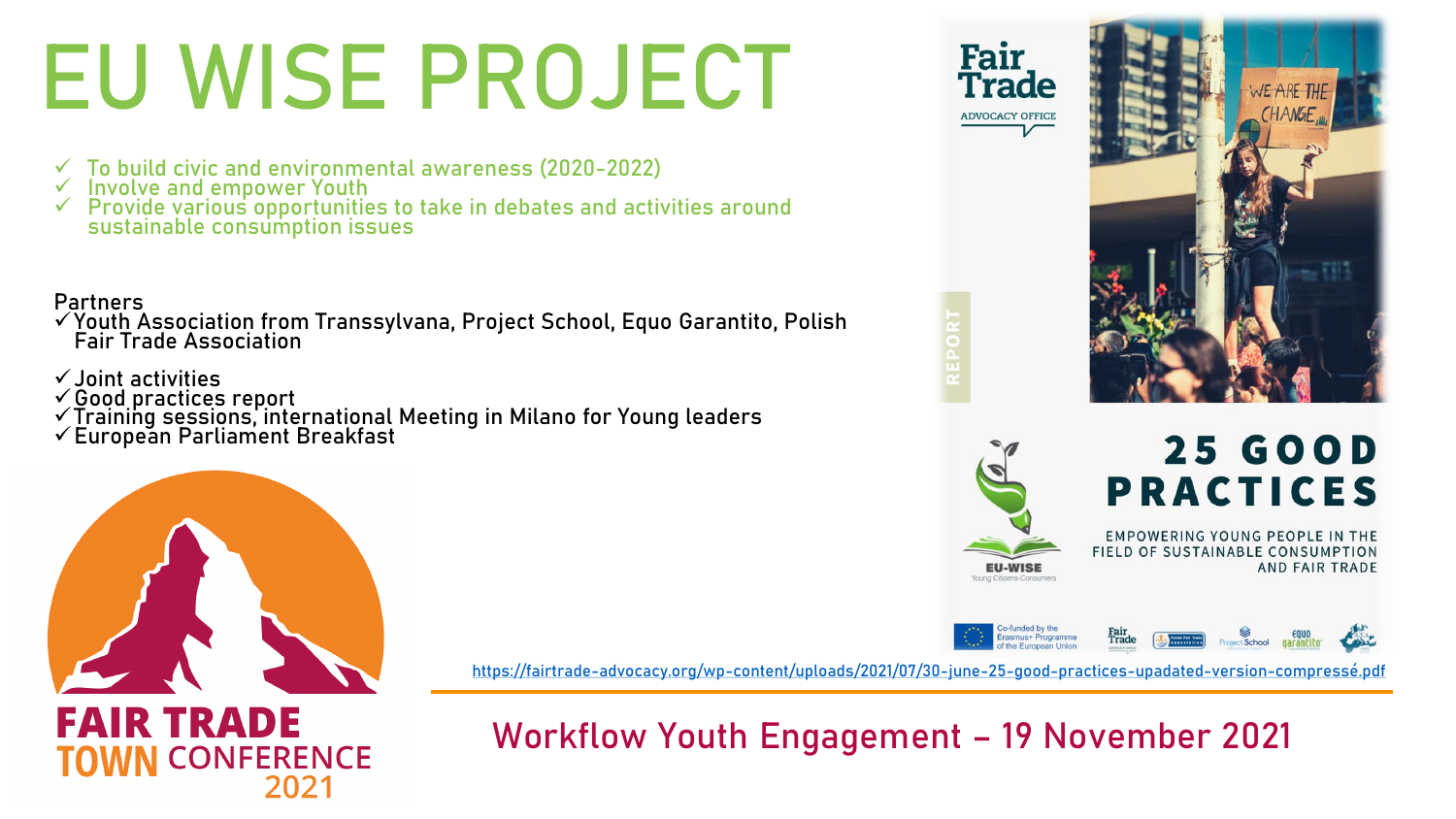# EU WISE PROJECT

- ✓ To build civic and environmental awareness (2020-2022)
- ✓ Involve and empower Youth
- ✓ Provide various opportunities to take in debates and activities around sustainable consumption issues

#### Partners

- ✓Youth Association from Transsylvana, Project School, Equo Garantito, Polish Fair Trade Association
- ✓Joint activities
- ✓Good practices report
- ✓Training sessions, international Meeting in Milano for Young leaders
- ✓European Parliament Breakfast



<https://fairtrade-advocacy.org/wp-content/uploads/2021/07/30-june-25-good-practices-upadated-version-compressé.pdf>

## **FAIR TRADE CONFERENCE**

Workflow Youth Engagement – 19 November 2021





## **25 GOOD PRACTICES**

**EMPOWERING YOUNG PEOPLE IN THE** FIELD OF SUSTAINABLE CONSUMPTION **AND FAIR TRADE**